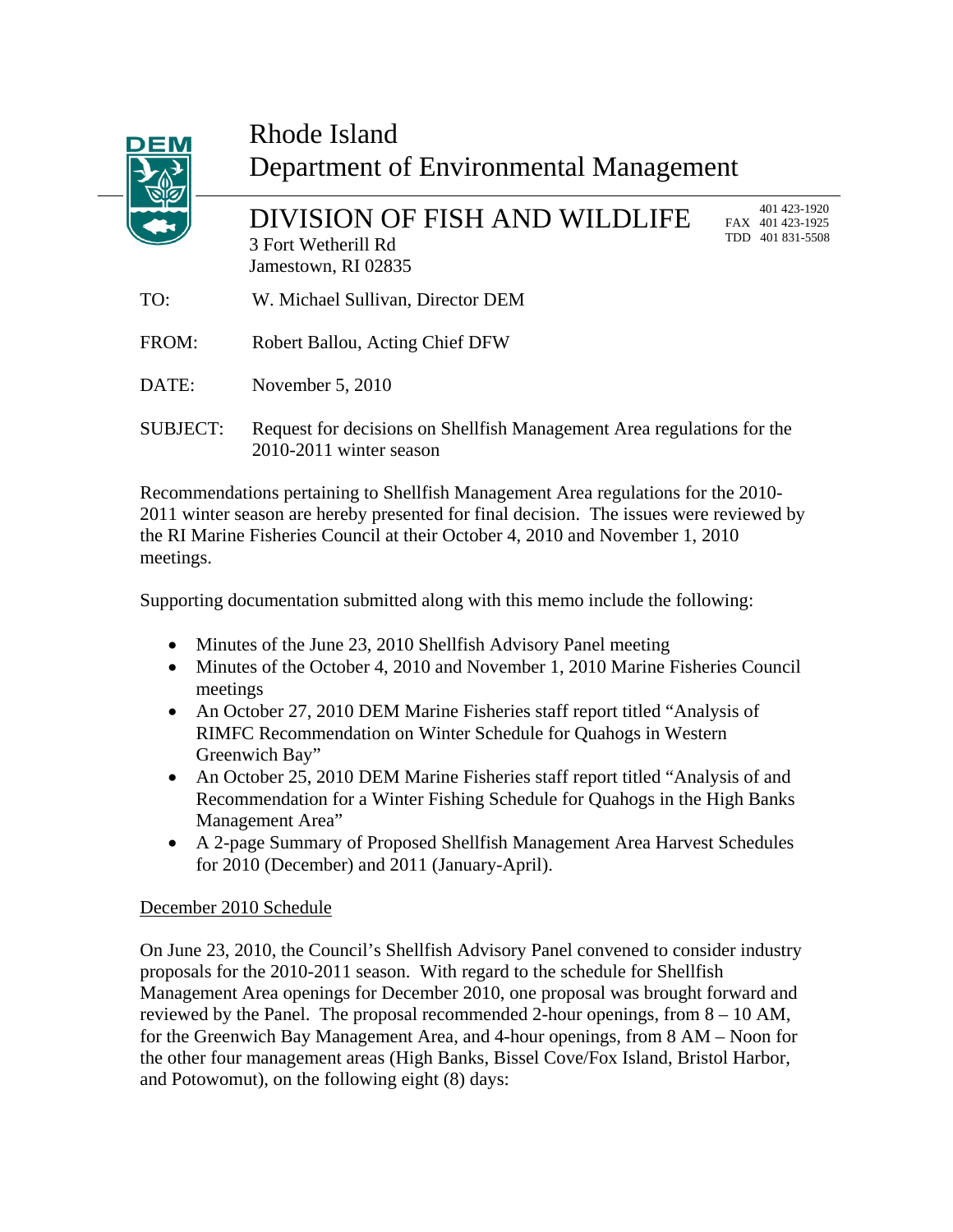

## Rhode Island Department of Environmental Management

DIVISION OF FISH AND WILDLIFE 3 Fort Wetherill Rd Jamestown, RI 02835

 401 423-1920 FAX 401 423-1925 TDD 401 831-5508

- TO: W. Michael Sullivan, Director DEM
- FROM: Robert Ballou, Acting Chief DFW
- DATE: November 5, 2010
- SUBJECT: Request for decisions on Shellfish Management Area regulations for the 2010-2011 winter season

Recommendations pertaining to Shellfish Management Area regulations for the 2010- 2011 winter season are hereby presented for final decision. The issues were reviewed by the RI Marine Fisheries Council at their October 4, 2010 and November 1, 2010 meetings.

Supporting documentation submitted along with this memo include the following:

- Minutes of the June 23, 2010 Shellfish Advisory Panel meeting
- Minutes of the October 4, 2010 and November 1, 2010 Marine Fisheries Council meetings
- An October 27, 2010 DEM Marine Fisheries staff report titled "Analysis of RIMFC Recommendation on Winter Schedule for Quahogs in Western Greenwich Bay"
- An October 25, 2010 DEM Marine Fisheries staff report titled "Analysis of and Recommendation for a Winter Fishing Schedule for Quahogs in the High Banks Management Area"
- A 2-page Summary of Proposed Shellfish Management Area Harvest Schedules for 2010 (December) and 2011 (January-April).

## December 2010 Schedule

On June 23, 2010, the Council's Shellfish Advisory Panel convened to consider industry proposals for the 2010-2011 season. With regard to the schedule for Shellfish Management Area openings for December 2010, one proposal was brought forward and reviewed by the Panel. The proposal recommended 2-hour openings, from 8 – 10 AM, for the Greenwich Bay Management Area, and 4-hour openings, from 8 AM – Noon for the other four management areas (High Banks, Bissel Cove/Fox Island, Bristol Harbor, and Potowomut), on the following eight (8) days: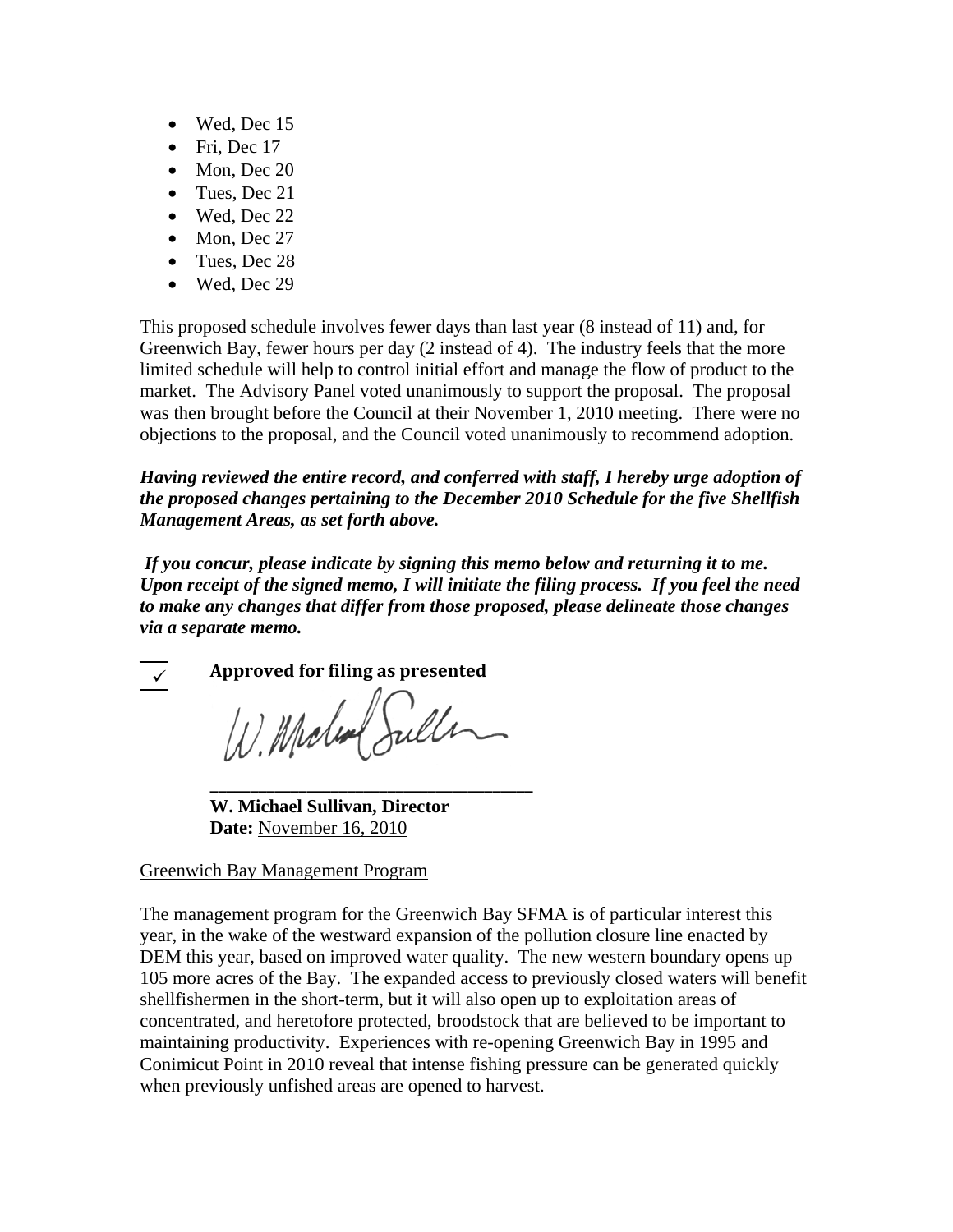- Wed, Dec 15
- Fri, Dec 17
- Mon, Dec 20
- Tues, Dec 21
- Wed, Dec 22
- Mon, Dec 27
- Tues, Dec 28
- Wed, Dec 29

This proposed schedule involves fewer days than last year (8 instead of 11) and, for Greenwich Bay, fewer hours per day (2 instead of 4). The industry feels that the more limited schedule will help to control initial effort and manage the flow of product to the market. The Advisory Panel voted unanimously to support the proposal. The proposal was then brought before the Council at their November 1, 2010 meeting. There were no objections to the proposal, and the Council voted unanimously to recommend adoption.

*Having reviewed the entire record, and conferred with staff, I hereby urge adoption of the proposed changes pertaining to the December 2010 Schedule for the five Shellfish Management Areas, as set forth above.* 

 *If you concur, please indicate by signing this memo below and returning it to me. Upon receipt of the signed memo, I will initiate the filing process. If you feel the need to make any changes that differ from those proposed, please delineate those changes via a separate memo.* 

 $\checkmark$ 

**Approved for filing as presented**

W. Moden Suller

**\_\_\_\_\_\_\_\_\_\_\_\_\_\_\_\_\_\_\_\_\_\_\_\_\_\_\_\_\_\_\_\_\_\_\_\_\_\_\_\_ W. Michael Sullivan, Director Date:** November 16, 2010

## Greenwich Bay Management Program

The management program for the Greenwich Bay SFMA is of particular interest this year, in the wake of the westward expansion of the pollution closure line enacted by DEM this year, based on improved water quality. The new western boundary opens up 105 more acres of the Bay. The expanded access to previously closed waters will benefit shellfishermen in the short-term, but it will also open up to exploitation areas of concentrated, and heretofore protected, broodstock that are believed to be important to maintaining productivity. Experiences with re-opening Greenwich Bay in 1995 and Conimicut Point in 2010 reveal that intense fishing pressure can be generated quickly when previously unfished areas are opened to harvest.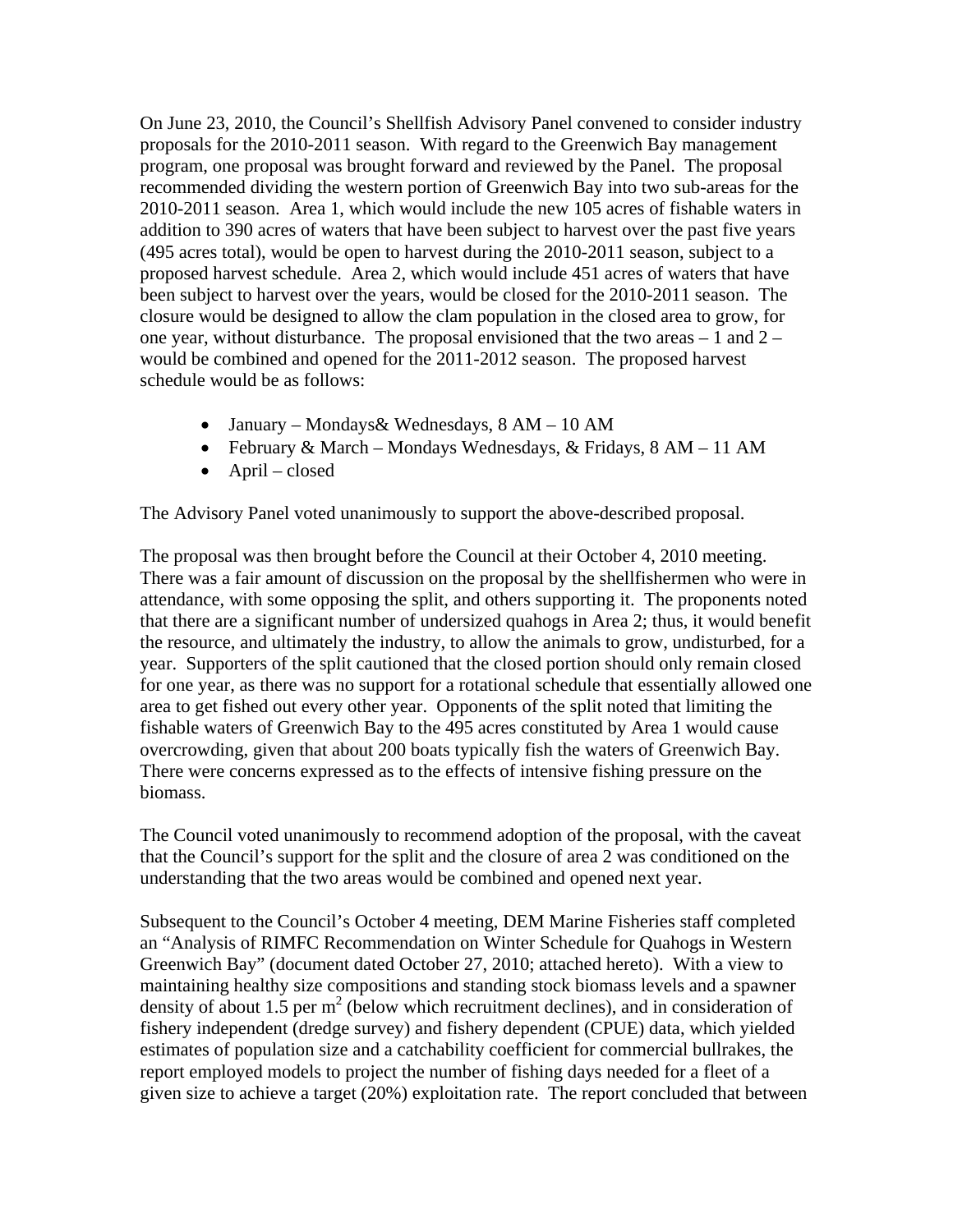On June 23, 2010, the Council's Shellfish Advisory Panel convened to consider industry proposals for the 2010-2011 season. With regard to the Greenwich Bay management program, one proposal was brought forward and reviewed by the Panel. The proposal recommended dividing the western portion of Greenwich Bay into two sub-areas for the 2010-2011 season. Area 1, which would include the new 105 acres of fishable waters in addition to 390 acres of waters that have been subject to harvest over the past five years (495 acres total), would be open to harvest during the 2010-2011 season, subject to a proposed harvest schedule. Area 2, which would include 451 acres of waters that have been subject to harvest over the years, would be closed for the 2010-2011 season. The closure would be designed to allow the clam population in the closed area to grow, for one year, without disturbance. The proposal envisioned that the two areas – 1 and 2 – would be combined and opened for the 2011-2012 season. The proposed harvest schedule would be as follows:

- January Mondays& Wednesdays, 8 AM 10 AM
- February & March Mondays Wednesdays, & Fridays, 8 AM 11 AM
- April closed

The Advisory Panel voted unanimously to support the above-described proposal.

The proposal was then brought before the Council at their October 4, 2010 meeting. There was a fair amount of discussion on the proposal by the shellfishermen who were in attendance, with some opposing the split, and others supporting it. The proponents noted that there are a significant number of undersized quahogs in Area 2; thus, it would benefit the resource, and ultimately the industry, to allow the animals to grow, undisturbed, for a year. Supporters of the split cautioned that the closed portion should only remain closed for one year, as there was no support for a rotational schedule that essentially allowed one area to get fished out every other year. Opponents of the split noted that limiting the fishable waters of Greenwich Bay to the 495 acres constituted by Area 1 would cause overcrowding, given that about 200 boats typically fish the waters of Greenwich Bay. There were concerns expressed as to the effects of intensive fishing pressure on the biomass.

The Council voted unanimously to recommend adoption of the proposal, with the caveat that the Council's support for the split and the closure of area 2 was conditioned on the understanding that the two areas would be combined and opened next year.

Subsequent to the Council's October 4 meeting, DEM Marine Fisheries staff completed an "Analysis of RIMFC Recommendation on Winter Schedule for Quahogs in Western Greenwich Bay" (document dated October 27, 2010; attached hereto). With a view to maintaining healthy size compositions and standing stock biomass levels and a spawner density of about 1.5 per  $m^2$  (below which recruitment declines), and in consideration of fishery independent (dredge survey) and fishery dependent (CPUE) data, which yielded estimates of population size and a catchability coefficient for commercial bullrakes, the report employed models to project the number of fishing days needed for a fleet of a given size to achieve a target (20%) exploitation rate. The report concluded that between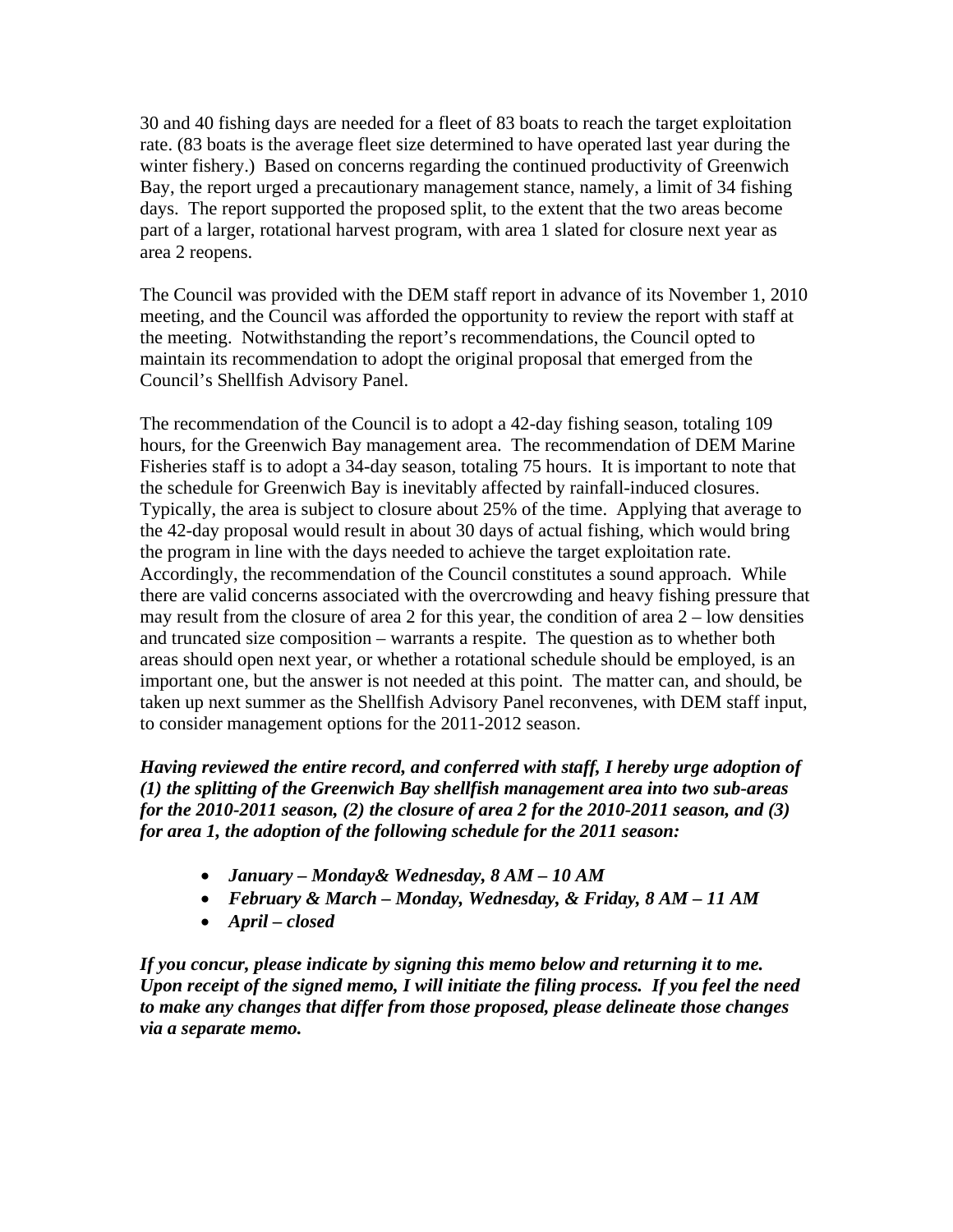30 and 40 fishing days are needed for a fleet of 83 boats to reach the target exploitation rate. (83 boats is the average fleet size determined to have operated last year during the winter fishery.) Based on concerns regarding the continued productivity of Greenwich Bay, the report urged a precautionary management stance, namely, a limit of 34 fishing days. The report supported the proposed split, to the extent that the two areas become part of a larger, rotational harvest program, with area 1 slated for closure next year as area 2 reopens.

The Council was provided with the DEM staff report in advance of its November 1, 2010 meeting, and the Council was afforded the opportunity to review the report with staff at the meeting. Notwithstanding the report's recommendations, the Council opted to maintain its recommendation to adopt the original proposal that emerged from the Council's Shellfish Advisory Panel.

The recommendation of the Council is to adopt a 42-day fishing season, totaling 109 hours, for the Greenwich Bay management area. The recommendation of DEM Marine Fisheries staff is to adopt a 34-day season, totaling 75 hours. It is important to note that the schedule for Greenwich Bay is inevitably affected by rainfall-induced closures. Typically, the area is subject to closure about 25% of the time. Applying that average to the 42-day proposal would result in about 30 days of actual fishing, which would bring the program in line with the days needed to achieve the target exploitation rate. Accordingly, the recommendation of the Council constitutes a sound approach. While there are valid concerns associated with the overcrowding and heavy fishing pressure that may result from the closure of area 2 for this year, the condition of area 2 – low densities and truncated size composition – warrants a respite. The question as to whether both areas should open next year, or whether a rotational schedule should be employed, is an important one, but the answer is not needed at this point. The matter can, and should, be taken up next summer as the Shellfish Advisory Panel reconvenes, with DEM staff input, to consider management options for the 2011-2012 season.

*Having reviewed the entire record, and conferred with staff, I hereby urge adoption of (1) the splitting of the Greenwich Bay shellfish management area into two sub-areas for the 2010-2011 season, (2) the closure of area 2 for the 2010-2011 season, and (3) for area 1, the adoption of the following schedule for the 2011 season:* 

- *January Monday& Wednesday, 8 AM 10 AM*
- *February & March Monday, Wednesday, & Friday, 8 AM 11 AM*
- *April closed*

*If you concur, please indicate by signing this memo below and returning it to me. Upon receipt of the signed memo, I will initiate the filing process. If you feel the need to make any changes that differ from those proposed, please delineate those changes via a separate memo.*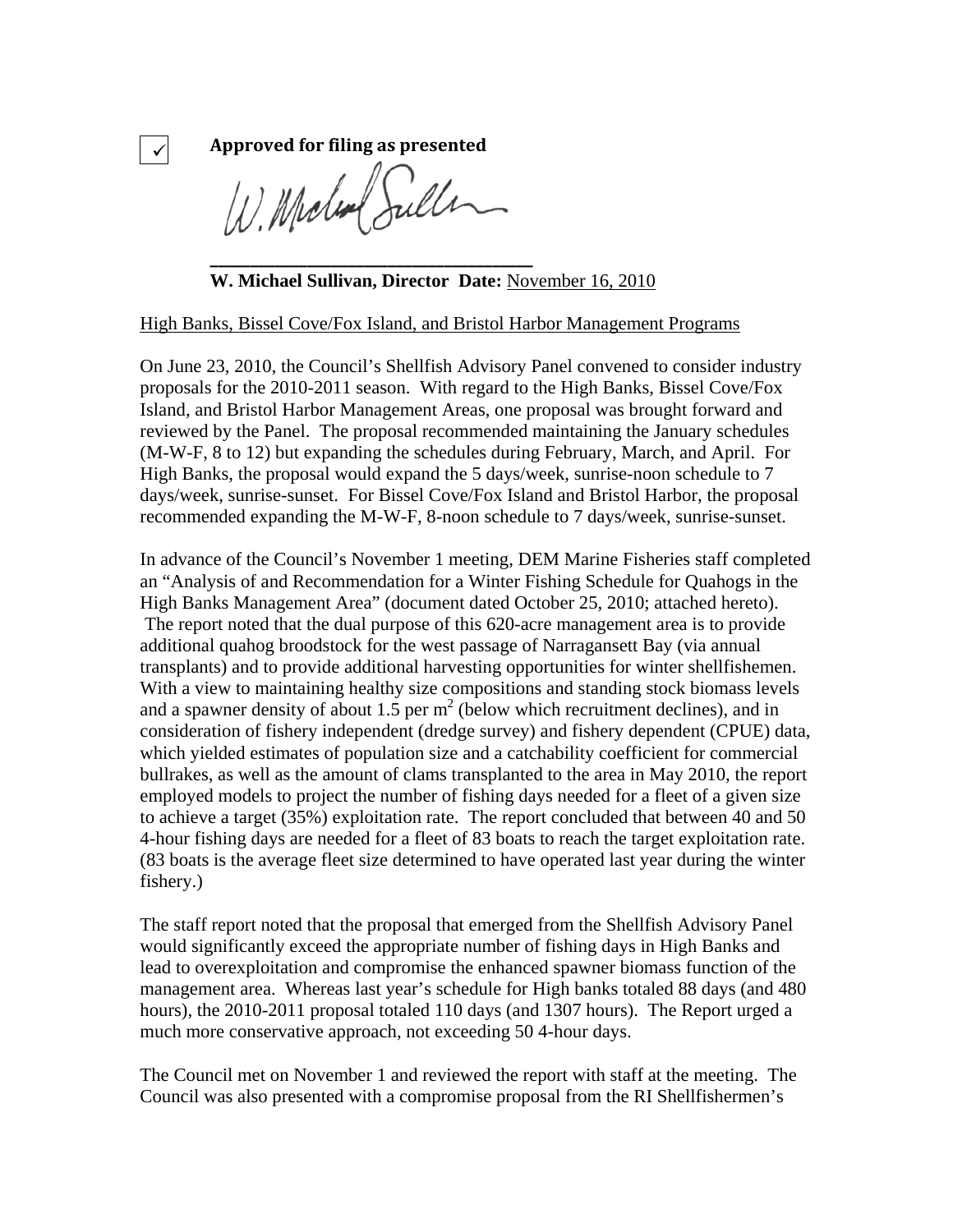**Approved for filing as presented** W. Mola Suller

 $\checkmark$ 

**\_\_\_\_\_\_\_\_\_\_\_\_\_\_\_\_\_\_\_\_\_\_\_\_\_\_\_\_\_\_\_\_\_\_\_\_\_\_\_\_**

**W. Michael Sullivan, Director Date:** November 16, 2010

High Banks, Bissel Cove/Fox Island, and Bristol Harbor Management Programs

On June 23, 2010, the Council's Shellfish Advisory Panel convened to consider industry proposals for the 2010-2011 season. With regard to the High Banks, Bissel Cove/Fox Island, and Bristol Harbor Management Areas, one proposal was brought forward and reviewed by the Panel. The proposal recommended maintaining the January schedules (M-W-F, 8 to 12) but expanding the schedules during February, March, and April. For High Banks, the proposal would expand the 5 days/week, sunrise-noon schedule to 7 days/week, sunrise-sunset. For Bissel Cove/Fox Island and Bristol Harbor, the proposal recommended expanding the M-W-F, 8-noon schedule to 7 days/week, sunrise-sunset.

In advance of the Council's November 1 meeting, DEM Marine Fisheries staff completed an "Analysis of and Recommendation for a Winter Fishing Schedule for Quahogs in the High Banks Management Area" (document dated October 25, 2010; attached hereto). The report noted that the dual purpose of this 620-acre management area is to provide additional quahog broodstock for the west passage of Narragansett Bay (via annual transplants) and to provide additional harvesting opportunities for winter shellfishemen. With a view to maintaining healthy size compositions and standing stock biomass levels and a spawner density of about 1.5 per  $m^2$  (below which recruitment declines), and in consideration of fishery independent (dredge survey) and fishery dependent (CPUE) data, which yielded estimates of population size and a catchability coefficient for commercial bullrakes, as well as the amount of clams transplanted to the area in May 2010, the report employed models to project the number of fishing days needed for a fleet of a given size to achieve a target (35%) exploitation rate. The report concluded that between 40 and 50 4-hour fishing days are needed for a fleet of 83 boats to reach the target exploitation rate. (83 boats is the average fleet size determined to have operated last year during the winter fishery.)

The staff report noted that the proposal that emerged from the Shellfish Advisory Panel would significantly exceed the appropriate number of fishing days in High Banks and lead to overexploitation and compromise the enhanced spawner biomass function of the management area. Whereas last year's schedule for High banks totaled 88 days (and 480 hours), the 2010-2011 proposal totaled 110 days (and 1307 hours). The Report urged a much more conservative approach, not exceeding 50 4-hour days.

The Council met on November 1 and reviewed the report with staff at the meeting. The Council was also presented with a compromise proposal from the RI Shellfishermen's